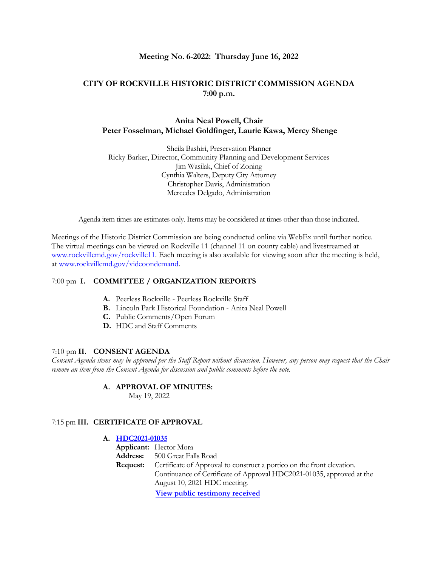### **Meeting No. 6-2022: Thursday June 16, 2022**

# **CITY OF ROCKVILLE HISTORIC DISTRICT COMMISSION AGENDA 7:00 p.m.**

## **Anita Neal Powell, Chair Peter Fosselman, Michael Goldfinger, Laurie Kawa, Mercy Shenge**

Sheila Bashiri, Preservation Planner Ricky Barker, Director, Community Planning and Development Services Jim Wasilak, Chief of Zoning Cynthia Walters, Deputy City Attorney Christopher Davis, Administration Mercedes Delgado, Administration

Agenda item times are estimates only. Items may be considered at times other than those indicated.

Meetings of the Historic District Commission are being conducted online via WebEx until further notice. The virtual meetings can be viewed on Rockville 11 (channel 11 on county cable) and livestreamed at [www.rockvillemd.gov/rockville11.](http://www.rockvillemd.gov/rockville11) Each meeting is also available for viewing soon after the meeting is held, at [www.rockvillemd.gov/videoondemand.](http://www.rockvillemd.gov/videoondemand) 

#### 7:00 pm **I. COMMITTEE / ORGANIZATION REPORTS**

- **A.** Peerless Rockville Peerless Rockville Staff
- **B.** Lincoln Park Historical Foundation Anita Neal Powell
- **C.** Public Comments/Open Forum
- **D.** HDC and Staff Comments

#### 7:10 pm **II. CONSENT AGENDA**

*Consent Agenda items may be approved per the Staff Report without discussion. However, any person may request that the Chair remove an item from the Consent Agenda for discussion and public comments before the vote.*

#### **A. APPROVAL OF MINUTES:**

May 19, 2022

#### 7:15 pm **III. CERTIFICATE OF APPROVAL**

|                                                         | A. HDC2021-01035 |                                                                        |  |
|---------------------------------------------------------|------------------|------------------------------------------------------------------------|--|
|                                                         |                  | <b>Applicant:</b> Hector Mora                                          |  |
| <b>Address:</b> 500 Great Falls Road<br><b>Request:</b> |                  |                                                                        |  |
|                                                         |                  | Certificate of Approval to construct a portico on the front elevation. |  |
|                                                         |                  | Continuance of Certificate of Approval HDC2021-01035, approved at the  |  |
|                                                         |                  | August 10, 2021 HDC meeting.                                           |  |
|                                                         |                  | View public testimony received                                         |  |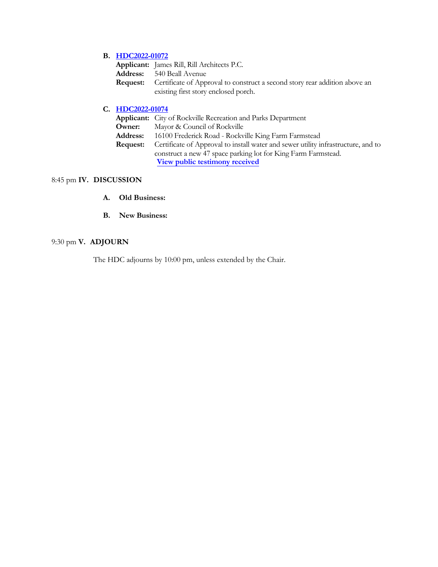# **B. [HDC2022-01072](https://www.rockvillemd.gov/DocumentCenter/View/45443/HDC2022-01072-540-Beall-Avenue-Staff-Report-Web-Version)**

| Applicant: James Rill, Rill Architects P.C.                                                |
|--------------------------------------------------------------------------------------------|
| <b>Address:</b> 540 Beall Avenue                                                           |
| <b>Request:</b> Certificate of Approval to construct a second story rear addition above an |
| existing first story enclosed porch.                                                       |

# **C. [HDC2022-01074](https://www.rockvillemd.gov/DocumentCenter/View/45444/HDC2022-01074-16100-Frederick-Road-Staff-Report-Web-Version)**

|                 | <b>Applicant:</b> City of Rockville Recreation and Parks Department               |
|-----------------|-----------------------------------------------------------------------------------|
| Owner:          | Mayor & Council of Rockville                                                      |
| <b>Address:</b> | 16100 Frederick Road - Rockville King Farm Farmstead                              |
| <b>Request:</b> | Certificate of Approval to install water and sewer utility infrastructure, and to |
|                 | construct a new 47 space parking lot for King Farm Farmstead.                     |
|                 | View public testimony received                                                    |

# 8:45 pm **IV. DISCUSSION**

- **A. Old Business:**
- **B. New Business:**

# 9:30 pm **V. ADJOURN**

The HDC adjourns by 10:00 pm, unless extended by the Chair.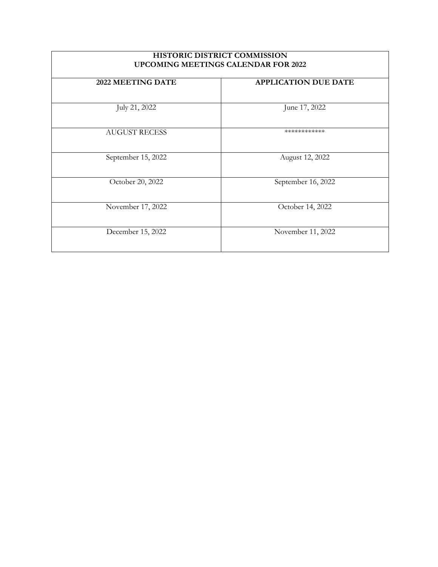| <b>HISTORIC DISTRICT COMMISSION</b><br><b>UPCOMING MEETINGS CALENDAR FOR 2022</b> |                             |  |
|-----------------------------------------------------------------------------------|-----------------------------|--|
| 2022 MEETING DATE                                                                 | <b>APPLICATION DUE DATE</b> |  |
| July 21, 2022                                                                     | June 17, 2022               |  |
| <b>AUGUST RECESS</b>                                                              | ************                |  |
| September 15, 2022                                                                | August 12, 2022             |  |
| October 20, 2022                                                                  | September 16, 2022          |  |
| November 17, 2022                                                                 | October 14, 2022            |  |
| December 15, 2022                                                                 | November 11, 2022           |  |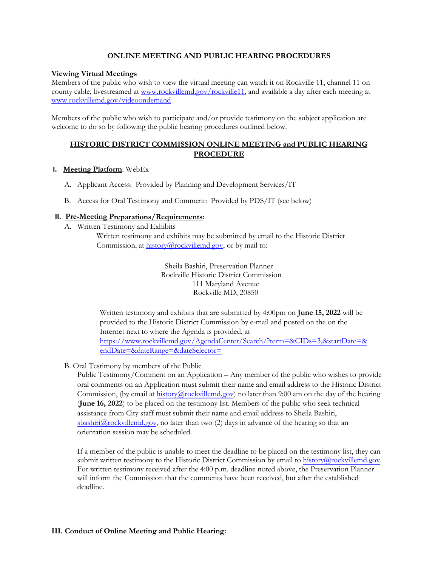### **ONLINE MEETING AND PUBLIC HEARING PROCEDURES**

### **Viewing Virtual Meetings**

Members of the public who wish to view the virtual meeting can watch it on Rockville 11, channel 11 on county cable, livestreamed at [www.rockvillemd.gov/rockville11,](http://www.rockvillemd.gov/rockville11) and available a day after each meeting at [www.rockvillemd.gov/videoondemand](http://www.rockvillemd.gov/videoondemand)

Members of the public who wish to participate and/or provide testimony on the subject application are welcome to do so by following the public hearing procedures outlined below.

## **HISTORIC DISTRICT COMMISSION ONLINE MEETING and PUBLIC HEARING PROCEDURE**

### **I. Meeting Platform**: WebEx

- A. Applicant Access: Provided by Planning and Development Services/IT
- B. Access for Oral Testimony and Comment: Provided by PDS/IT (see below)

## **II. Pre-Meeting Preparations/Requirements:**

A. Written Testimony and Exhibits

Written testimony and exhibits may be submitted by email to the Historic District Commission, at [history@rockvillemd.gov,](mailto:history@rockvillemd.gov) or by mail to:

> Sheila Bashiri, Preservation Planner Rockville Historic District Commission 111 Maryland Avenue Rockville MD, 20850

Written testimony and exhibits that are submitted by 4:00pm on **June 15, 2022** will be provided to the Historic District Commission by e-mail and posted on the on the Internet next to where the Agenda is provided, at [https://www.rockvillemd.gov/AgendaCenter/Search/?term=&CIDs=3,&startDate=&](https://www.rockvillemd.gov/AgendaCenter/Search/?term=&CIDs=3,&startDate=&endDate=&dateRange=&dateSelector=) [endDate=&dateRange=&dateSelector=](https://www.rockvillemd.gov/AgendaCenter/Search/?term=&CIDs=3,&startDate=&endDate=&dateRange=&dateSelector=)

B. Oral Testimony by members of the Public

Public Testimony/Comment on an Application – Any member of the public who wishes to provide oral comments on an Application must submit their name and email address to the Historic District Commission, (by email at history $@$ rockvillemd.gov) no later than 9:00 am on the day of the hearing (**June 16, 2022**) to be placed on the testimony list. Members of the public who seek technical assistance from City staff must submit their name and email address to Sheila Bashiri, sbashiri $@$ rockvillemd.gov, no later than two  $(2)$  days in advance of the hearing so that an orientation session may be scheduled.

If a member of the public is unable to meet the deadline to be placed on the testimony list, they can submit written testimony to the Historic District Commission by email to [history@rockvillemd.gov.](mailto:history@rockvillemd.gov) For written testimony received after the 4:00 p.m. deadline noted above, the Preservation Planner will inform the Commission that the comments have been received, but after the established deadline.